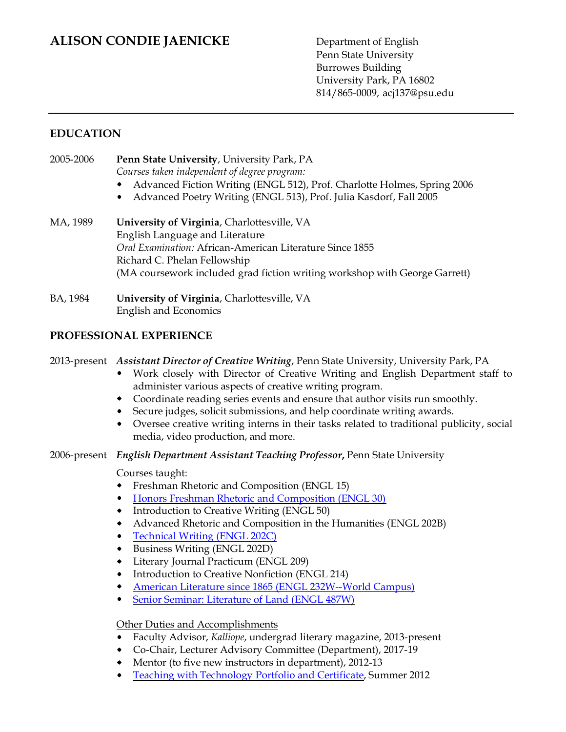# **ALISON CONDIE JAENICKE** Department of English

Penn State University Burrowes Building University Park, PA 16802 814/865-0009, acj137@psu.edu

### **EDUCATION**

| 2005-2006 | <b>Penn State University, University Park, PA</b>                          |
|-----------|----------------------------------------------------------------------------|
|           | Courses taken independent of degree program:                               |
|           | • Advanced Fiction Writing (ENGL 512), Prof. Charlotte Holmes, Spring 2006 |
|           | • Advanced Poetry Writing (ENGL 513), Prof. Julia Kasdorf, Fall 2005       |
|           |                                                                            |

MA, 1989 **University of Virginia**, Charlottesville, VA English Language and Literature *Oral Examination:* African-American Literature Since 1855 Richard C. Phelan Fellowship (MA coursework included grad fiction writing workshop with George Garrett)

#### BA, 1984 **University of Virginia**, Charlottesville, VA English and Economics

### **PROFESSIONAL EXPERIENCE**

2013-present *Assistant Director of Creative Writing*, Penn State University, University Park, PA

- Work closely with Director of Creative Writing and English Department staff to administer various aspects of creative writing program.
- Coordinate reading series events and ensure that author visits run smoothly.
- Secure judges, solicit submissions, and help coordinate writing awards.
- Oversee creative writing interns in their tasks related to traditional publicity, social media, video production, and more.
- 2006-present *English Department Assistant Teaching Professor***,** Penn State University

### Courses taught:

- Freshman Rhetoric and Composition (ENGL 15)  $\bullet$
- $\bullet$ [Honors Freshman Rhetoric and Composition \(ENGL 30\)](http://www.personal.psu.edu/acj137/blogs/E30/)
- Introduction to Creative Writing (ENGL 50)  $\bullet$
- Advanced Rhetoric and Composition in the Humanities (ENGL 202B)  $\bullet$
- $\bullet$ [Technical Writing \(ENGL 202C\)](http://www.personal.psu.edu/acj137/blogs/202cv1/)
- Business Writing (ENGL 202D)
- Literary Journal Practicum (ENGL 209)
- Introduction to Creative Nonfiction (ENGL 214)  $\bullet$
- [American Literature since 1865 \(ENGL 232W--World Campus\)](http://www.personal.psu.edu/acj137/blogs/engl_232w_jaenicke/)
- $\bullet$ [Senior Seminar: Literature of Land \(ENGL 487W\)](http://www.personal.psu.edu/acj137/blogs/literature_of_land/)

### Other Duties and Accomplishments

- Faculty Advisor, *Kalliope*, undergrad literary magazine, 2013-present  $\bullet$
- Co-Chair, Lecturer Advisory Committee (Department), 2017-19
- Mentor (to five new instructors in department), 2012-13
- $\bullet$ [Teaching with Technology Portfolio and](http://www.personal.psu.edu/acj137/blogs/techteachingportfolio/) Certificate, Summer 2012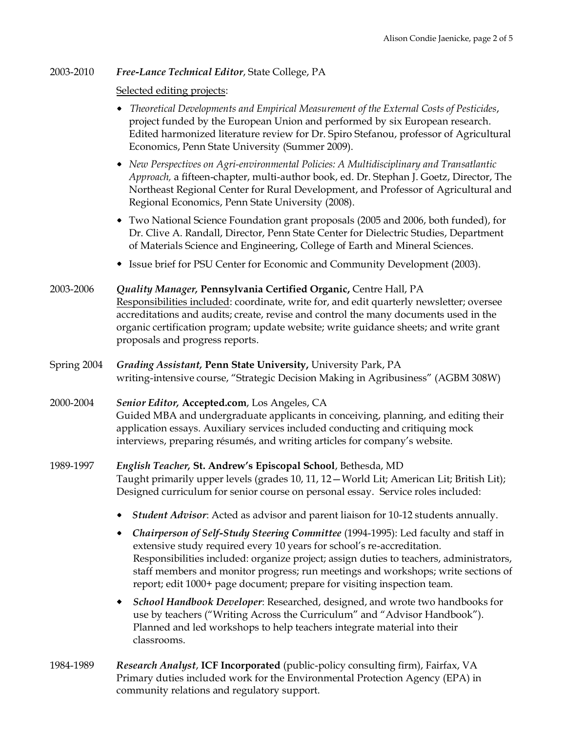#### 2003-2010 *Free-Lance Technical Editor*, State College, PA

#### Selected editing projects:

- *Theoretical Developments and Empirical Measurement of the External Costs of Pesticides*, project funded by the European Union and performed by six European research. Edited harmonized literature review for Dr. Spiro Stefanou, professor of Agricultural Economics, Penn State University (Summer 2009).
- *New Perspectives on Agri-environmental Policies: A Multidisciplinary and Transatlantic Approach,* a fifteen-chapter, multi-author book, ed. Dr. Stephan J. Goetz, Director, The Northeast Regional Center for Rural Development, and Professor of Agricultural and Regional Economics, Penn State University (2008).
- Two National Science Foundation grant proposals (2005 and 2006, both funded), for Dr. Clive A. Randall, Director, Penn State Center for Dielectric Studies, Department of Materials Science and Engineering, College of Earth and Mineral Sciences.
- Issue brief for PSU Center for Economic and Community Development (2003).
- 2003-2006 *Quality Manager,* **Pennsylvania Certified Organic,** Centre Hall, PA Responsibilities included: coordinate, write for, and edit quarterly newsletter; oversee accreditations and audits; create, revise and control the many documents used in the organic certification program; update website; write guidance sheets; and write grant proposals and progress reports.
- Spring 2004 *Grading Assistant,* **Penn State University,** University Park, PA writing-intensive course, "Strategic Decision Making in Agribusiness" (AGBM 308W)
- 2000-2004 *Senior Editor,* **Accepted.com**, Los Angeles, CA Guided MBA and undergraduate applicants in conceiving, planning, and editing their application essays. Auxiliary services included conducting and critiquing mock interviews, preparing résumés, and writing articles for company's website.
- 1989-1997 *English Teacher,* **St. Andrew's Episcopal School**, Bethesda, MD Taught primarily upper levels (grades 10, 11, 12—World Lit; American Lit; British Lit); Designed curriculum for senior course on personal essay. Service roles included:
	- *Student Advisor*: Acted as advisor and parent liaison for 10-12 students annually.
	- *Chairperson of Self-Study Steering Committee* (1994-1995): Led faculty and staff in extensive study required every 10 years for school's re-accreditation. Responsibilities included: organize project; assign duties to teachers, administrators, staff members and monitor progress; run meetings and workshops; write sections of report; edit 1000+ page document; prepare for visiting inspection team.
	- *School Handbook Developer*: Researched, designed, and wrote two handbooks for  $\bullet$ use by teachers ("Writing Across the Curriculum" and "Advisor Handbook"). Planned and led workshops to help teachers integrate material into their classrooms.
- 1984-1989 *Research Analyst*, **ICF Incorporated** (public-policy consulting firm), Fairfax, VA Primary duties included work for the Environmental Protection Agency (EPA) in community relations and regulatory support.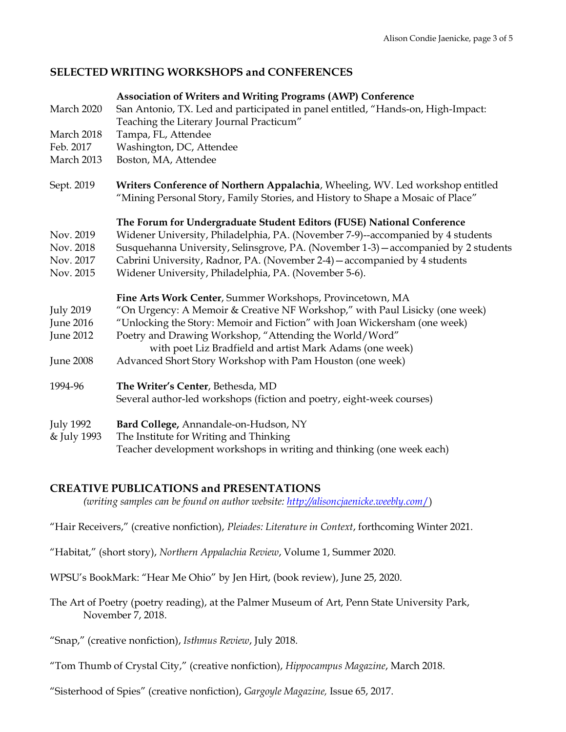### **SELECTED WRITING WORKSHOPS and CONFERENCES**

|                  | <b>Association of Writers and Writing Programs (AWP) Conference</b>                                                                                               |
|------------------|-------------------------------------------------------------------------------------------------------------------------------------------------------------------|
| March 2020       | San Antonio, TX. Led and participated in panel entitled, "Hands-on, High-Impact:                                                                                  |
|                  | Teaching the Literary Journal Practicum"                                                                                                                          |
| March 2018       | Tampa, FL, Attendee                                                                                                                                               |
| Feb. 2017        | Washington, DC, Attendee                                                                                                                                          |
| March 2013       | Boston, MA, Attendee                                                                                                                                              |
| Sept. 2019       | Writers Conference of Northern Appalachia, Wheeling, WV. Led workshop entitled<br>"Mining Personal Story, Family Stories, and History to Shape a Mosaic of Place" |
|                  | The Forum for Undergraduate Student Editors (FUSE) National Conference                                                                                            |
| Nov. 2019        | Widener University, Philadelphia, PA. (November 7-9)--accompanied by 4 students                                                                                   |
| Nov. 2018        | Susquehanna University, Selinsgrove, PA. (November 1-3) - accompanied by 2 students                                                                               |
| Nov. 2017        | Cabrini University, Radnor, PA. (November 2-4) – accompanied by 4 students                                                                                        |
| Nov. 2015        | Widener University, Philadelphia, PA. (November 5-6).                                                                                                             |
|                  | Fine Arts Work Center, Summer Workshops, Provincetown, MA                                                                                                         |
| <b>July 2019</b> | "On Urgency: A Memoir & Creative NF Workshop," with Paul Lisicky (one week)                                                                                       |
| <b>June 2016</b> | "Unlocking the Story: Memoir and Fiction" with Joan Wickersham (one week)                                                                                         |
| <b>June 2012</b> | Poetry and Drawing Workshop, "Attending the World/Word"                                                                                                           |
|                  | with poet Liz Bradfield and artist Mark Adams (one week)                                                                                                          |
| <b>June 2008</b> | Advanced Short Story Workshop with Pam Houston (one week)                                                                                                         |
| 1994-96          | The Writer's Center, Bethesda, MD                                                                                                                                 |
|                  | Several author-led workshops (fiction and poetry, eight-week courses)                                                                                             |
| <b>July 1992</b> | Bard College, Annandale-on-Hudson, NY                                                                                                                             |
| & July 1993      | The Institute for Writing and Thinking                                                                                                                            |
|                  | Teacher development workshops in writing and thinking (one week each)                                                                                             |

### **CREATIVE PUBLICATIONS and PRESENTATIONS**

*(writing samples can be found on author website: [http://alisoncjaenicke.weebly.com](http://alisoncjaenicke.weebly.com/)*[/\)](http://alisoncjaenicke.weebly.com/)

"Hair Receivers," (creative nonfiction), *Pleiades: Literature in Context*, forthcoming Winter 2021.

"Habitat," (short story), *Northern Appalachia Review*, Volume 1, Summer 2020.

WPSU's BookMark: "Hear Me Ohio" by Jen Hirt, (book review), June 25, 2020.

The Art of Poetry (poetry reading), at the Palmer Museum of Art, Penn State University Park, November 7, 2018.

"Snap," (creative nonfiction), *Isthmus Review*, July 2018.

"Tom Thumb of Crystal City," (creative nonfiction), *Hippocampus Magazine*, March 2018.

"Sisterhood of Spies" (creative nonfiction), *Gargoyle Magazine,* Issue 65, 2017.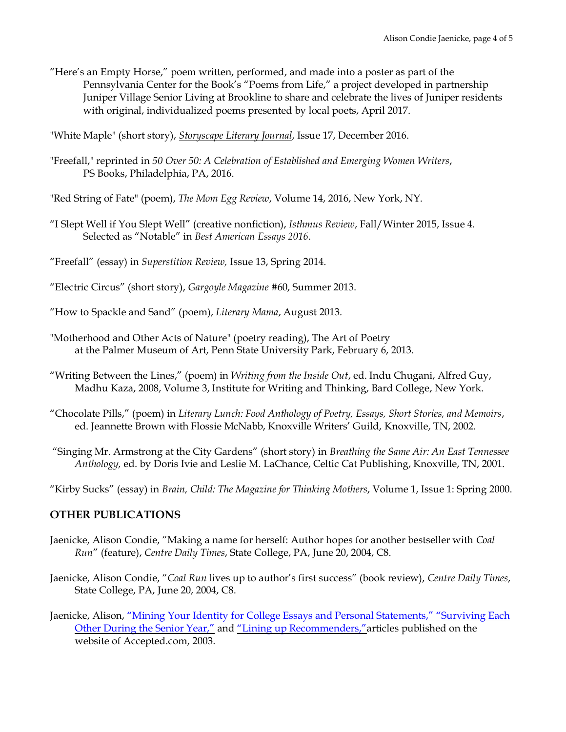"Here's an Empty Horse," poem written, performed, and made into a poster as part of the Pennsylvania Center for the Book's "Poems from Life," a project developed in partnership Juniper Village Senior Living at Brookline to share and celebrate the lives of Juniper residents with original, individualized poems presented by local poets, April 2017.

"White Maple" (short story), *[Storyscape Literary Journal](http://www.storyscapejournal.com/)*, Issue 17, December 2016.

"Freefall," reprinted in *50 Over 50: A Celebration of Established and Emerging Women Writers*, PS Books, Philadelphia, PA, 2016.

"Red String of Fate" (poem), *The Mom Egg Review*, Volume 14, 2016, New York, NY.

- "I Slept Well if You Slept Well" (creative nonfiction), *Isthmus Review*, Fall/Winter 2015, Issue 4. Selected as "Notable" in *Best American Essays 2016*.
- "Freefall" (essay) in *Superstition Review,* Issue 13, Spring 2014.
- "Electric Circus" (short story), *Gargoyle Magazine* #60, Summer 2013.
- "How to Spackle and Sand" (poem), *Literary Mama*, August 2013.
- "Motherhood and Other Acts of Nature" (poetry reading), The Art of Poetry at the Palmer Museum of Art, Penn State University Park, February 6, 2013.
- "Writing Between the Lines," (poem) in *Writing from the Inside Out*, ed. Indu Chugani, Alfred Guy, Madhu Kaza, 2008, Volume 3, Institute for Writing and Thinking, Bard College, New York.
- "Chocolate Pills," (poem) in *Literary Lunch: Food Anthology of Poetry, Essays, Short Stories, and Memoirs*, ed. Jeannette Brown with Flossie McNabb, Knoxville Writers' Guild, Knoxville, TN, 2002.

"Singing Mr. Armstrong at the City Gardens" (short story) in *Breathing the Same Air: An East Tennessee Anthology,* ed. by Doris Ivie and Leslie M. LaChance, Celtic Cat Publishing, Knoxville, TN, 2001.

"Kirby Sucks" (essay) in *Brain, Child: The Magazine for Thinking Mothers*, Volume 1, Issue 1: Spring 2000.

### **OTHER PUBLICATIONS**

- Jaenicke, Alison Condie, "Making a name for herself: Author hopes for another bestseller with *Coal Run*" (feature), *Centre Daily Times*, State College, PA, June 20, 2004, C8.
- Jaenicke, Alison Condie, "*Coal Run* lives up to author's first success" (book review), *Centre Daily Times*, State College, PA, June 20, 2004, C8.
- Jaenicke, Alison, ["Mining Your Identity for College Essays and Personal Statements,"](http://accepted.com/college/miningyouridentity.aspx) ["Surviving Each](http://accepted.com/college/surviving.aspx)  [Other During the Senior Year,"](http://accepted.com/college/surviving.aspx) and ["Lining up Recommenders,"](http://accepted.com/college/approaching.aspx)articles published on the website of Accepted.com, 2003.